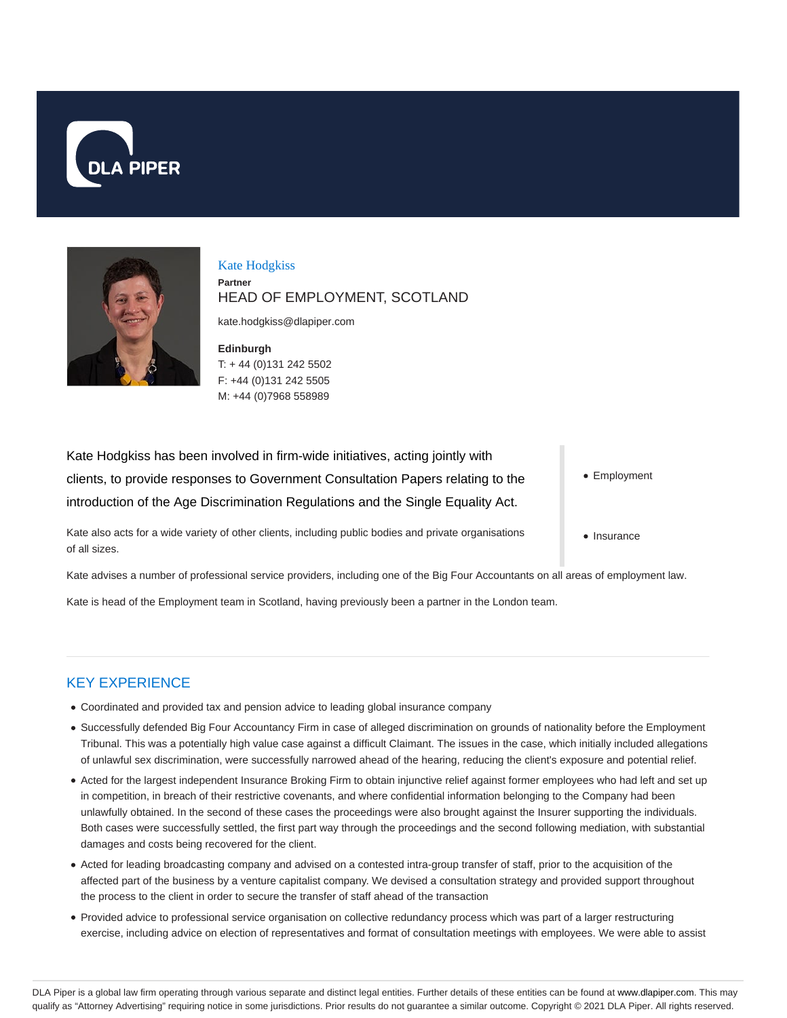



Kate Hodgkiss **Partner** HEAD OF EMPLOYMENT, SCOTLAND

kate.hodgkiss@dlapiper.com

**Edinburgh** T: + 44 (0)131 242 5502 F: +44 (0)131 242 5505 M: +44 (0)7968 558989

Kate Hodgkiss has been involved in firm-wide initiatives, acting jointly with clients, to provide responses to Government Consultation Papers relating to the introduction of the Age Discrimination Regulations and the Single Equality Act.

Kate also acts for a wide variety of other clients, including public bodies and private organisations of all sizes.

• Employment

• Insurance

Kate advises a number of professional service providers, including one of the Big Four Accountants on all areas of employment law.

Kate is head of the Employment team in Scotland, having previously been a partner in the London team.

# KEY EXPERIENCE

- Coordinated and provided tax and pension advice to leading global insurance company
- Successfully defended Big Four Accountancy Firm in case of alleged discrimination on grounds of nationality before the Employment Tribunal. This was a potentially high value case against a difficult Claimant. The issues in the case, which initially included allegations of unlawful sex discrimination, were successfully narrowed ahead of the hearing, reducing the client's exposure and potential relief.
- Acted for the largest independent Insurance Broking Firm to obtain injunctive relief against former employees who had left and set up in competition, in breach of their restrictive covenants, and where confidential information belonging to the Company had been unlawfully obtained. In the second of these cases the proceedings were also brought against the Insurer supporting the individuals. Both cases were successfully settled, the first part way through the proceedings and the second following mediation, with substantial damages and costs being recovered for the client.
- Acted for leading broadcasting company and advised on a contested intra-group transfer of staff, prior to the acquisition of the affected part of the business by a venture capitalist company. We devised a consultation strategy and provided support throughout the process to the client in order to secure the transfer of staff ahead of the transaction
- Provided advice to professional service organisation on collective redundancy process which was part of a larger restructuring exercise, including advice on election of representatives and format of consultation meetings with employees. We were able to assist

DLA Piper is a global law firm operating through various separate and distinct legal entities. Further details of these entities can be found at www.dlapiper.com. This may qualify as "Attorney Advertising" requiring notice in some jurisdictions. Prior results do not guarantee a similar outcome. Copyright @ 2021 DLA Piper. All rights reserved.